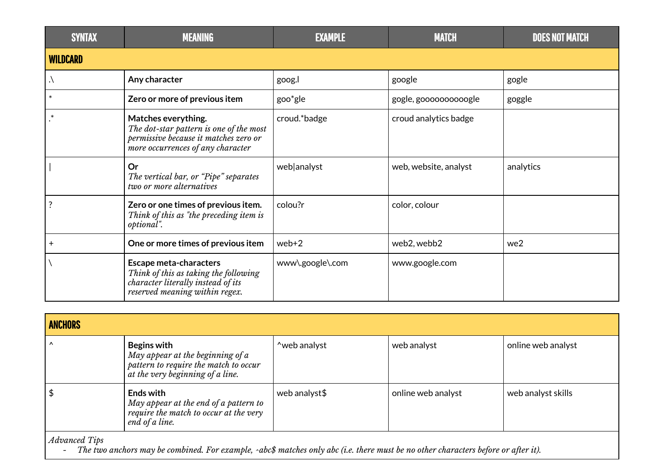| <b>SYNTAX</b>   | <b>MEANING</b>                                                                                                                                 | <b>EXAMPLE</b>   | <b>MATCH</b>          | <b>DOES NOT MATCH</b> |
|-----------------|------------------------------------------------------------------------------------------------------------------------------------------------|------------------|-----------------------|-----------------------|
| <b>WILDCARD</b> |                                                                                                                                                |                  |                       |                       |
|                 | Any character                                                                                                                                  | goog.l           | google                | gogle                 |
| $\ast$          | Zero or more of previous item                                                                                                                  | goo*gle          | gogle, goooooooooogle | goggle                |
| $\ast$          | Matches everything.<br>The dot-star pattern is one of the most<br>permissive because it matches zero or<br>more occurrences of any character   | croud.*badge     | croud analytics badge |                       |
|                 | Or<br>The vertical bar, or "Pipe" separates<br>two or more alternatives                                                                        | web analyst      | web, website, analyst | analytics             |
| ?               | Zero or one times of previous item.<br>Think of this as "the preceding item is<br>optional".                                                   | colou?r          | color, colour         |                       |
| $+$             | One or more times of previous item                                                                                                             | $web+2$          | web2, webb2           | we2                   |
|                 | <b>Escape meta-characters</b><br>Think of this as taking the following<br>character literally instead of its<br>reserved meaning within regex. | www\.google\.com | www.google.com        |                       |

| <b>ANCHORS</b>       |                                                                                                                              |               |                    |                    |
|----------------------|------------------------------------------------------------------------------------------------------------------------------|---------------|--------------------|--------------------|
| $\lambda$            | Begins with<br>May appear at the beginning of a<br>pattern to require the match to occur<br>at the very beginning of a line. | ~web analyst  | web analyst        | online web analyst |
| $\frac{1}{2}$        | Ends with<br>May appear at the end of a pattern to<br>require the match to occur at the very<br>end of a line.               | web analyst\$ | online web analyst | web analyst skills |
| <i>Advanced Tips</i> |                                                                                                                              |               |                    |                    |

- The two anchors may be combined. For example, ^abc\$ matches only abc (i.e. there must be no other characters before or after it).